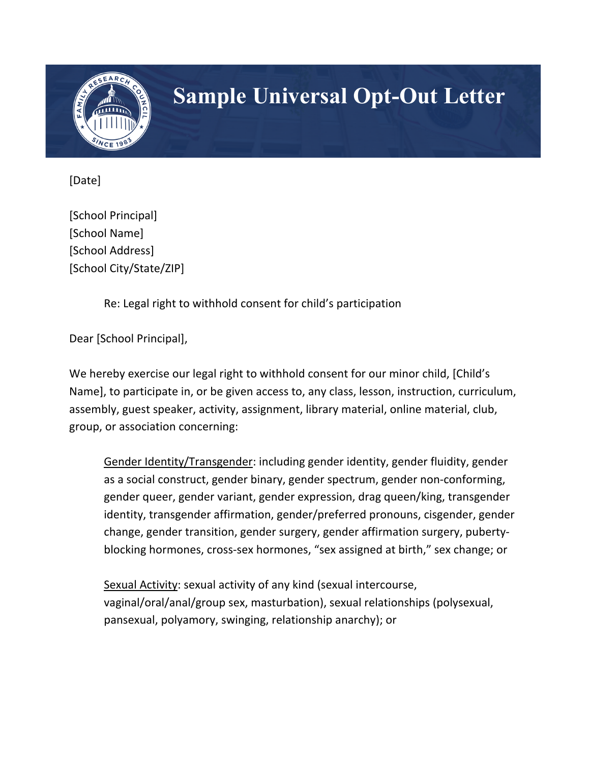

## **Sample Universal Opt-Out Letter**

[Date]

[School Principal] [School Name] [School Address] [School City/State/ZIP]

Re: Legal right to withhold consent for child's participation

Dear [School Principal],

We hereby exercise our legal right to withhold consent for our minor child, [Child's Name], to participate in, or be given access to, any class, lesson, instruction, curriculum, assembly, guest speaker, activity, assignment, library material, online material, club, group, or association concerning:

Gender Identity/Transgender: including gender identity, gender fluidity, gender as a social construct, gender binary, gender spectrum, gender non-conforming, gender queer, gender variant, gender expression, drag queen/king, transgender identity, transgender affirmation, gender/preferred pronouns, cisgender, gender change, gender transition, gender surgery, gender affirmation surgery, pubertyblocking hormones, cross-sex hormones, "sex assigned at birth," sex change; or

Sexual Activity: sexual activity of any kind (sexual intercourse, vaginal/oral/anal/group sex, masturbation), sexual relationships (polysexual, pansexual, polyamory, swinging, relationship anarchy); or